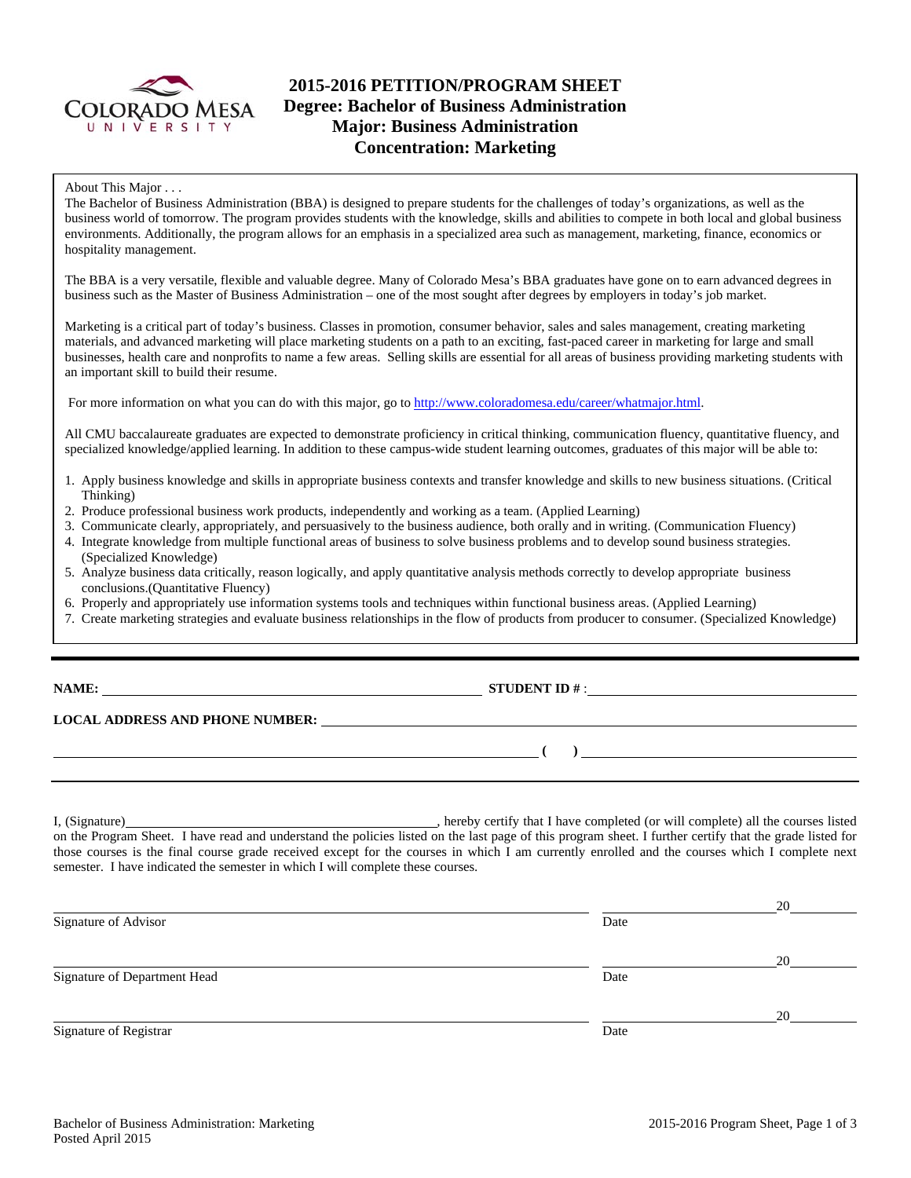

# **2015-2016 PETITION/PROGRAM SHEET Degree: Bachelor of Business Administration Major: Business Administration Concentration: Marketing**

#### About This Major . . .

The Bachelor of Business Administration (BBA) is designed to prepare students for the challenges of today's organizations, as well as the business world of tomorrow. The program provides students with the knowledge, skills and abilities to compete in both local and global business environments. Additionally, the program allows for an emphasis in a specialized area such as management, marketing, finance, economics or hospitality management.

The BBA is a very versatile, flexible and valuable degree. Many of Colorado Mesa's BBA graduates have gone on to earn advanced degrees in business such as the Master of Business Administration – one of the most sought after degrees by employers in today's job market.

Marketing is a critical part of today's business. Classes in promotion, consumer behavior, sales and sales management, creating marketing materials, and advanced marketing will place marketing students on a path to an exciting, fast-paced career in marketing for large and small businesses, health care and nonprofits to name a few areas. Selling skills are essential for all areas of business providing marketing students with an important skill to build their resume.

For more information on what you can do with this major, go to http://www.coloradomesa.edu/career/whatmajor.html.

All CMU baccalaureate graduates are expected to demonstrate proficiency in critical thinking, communication fluency, quantitative fluency, and specialized knowledge/applied learning. In addition to these campus-wide student learning outcomes, graduates of this major will be able to:

- 1. Apply business knowledge and skills in appropriate business contexts and transfer knowledge and skills to new business situations. (Critical Thinking)
- 2. Produce professional business work products, independently and working as a team. (Applied Learning)
- 3. Communicate clearly, appropriately, and persuasively to the business audience, both orally and in writing. (Communication Fluency)
- 4. Integrate knowledge from multiple functional areas of business to solve business problems and to develop sound business strategies. (Specialized Knowledge)
- 5. Analyze business data critically, reason logically, and apply quantitative analysis methods correctly to develop appropriate business conclusions.(Quantitative Fluency)
- 6. Properly and appropriately use information systems tools and techniques within functional business areas. (Applied Learning)
- 7. Create marketing strategies and evaluate business relationships in the flow of products from producer to consumer. (Specialized Knowledge)

**NAME: STUDENT ID #** :

 **(** ) **(** ) **(** ) **(** ) **(** ) **(** ) **(** ) **(** ) **(** ) **(** ) **(** ) **(** ) **(** ) **(** ) **(** ) **(** ) **(** ) **(** ) **(** ) **(** ) **(** ) **(** ) **(** ) **(** ) **(** ) **(** ) **(** ) **(** ) **(** ) **(** ) **(** ) **(** ) **(** ) **(** ) **(** ) **(** ) **(** )

# **LOCAL ADDRESS AND PHONE NUMBER:**

I, (Signature) hereby certify that I have completed (or will complete) all the courses listed on the Program Sheet. I have read and understand the policies listed on the last page of this program sheet. I further certify that the grade listed for those courses is the final course grade received except for the courses in which I am currently enrolled and the courses which I complete next semester. I have indicated the semester in which I will complete these courses.

|                              |      | 20 |
|------------------------------|------|----|
| Signature of Advisor         | Date |    |
|                              |      | 20 |
| Signature of Department Head | Date |    |
|                              |      | 20 |
| Signature of Registrar       | Date |    |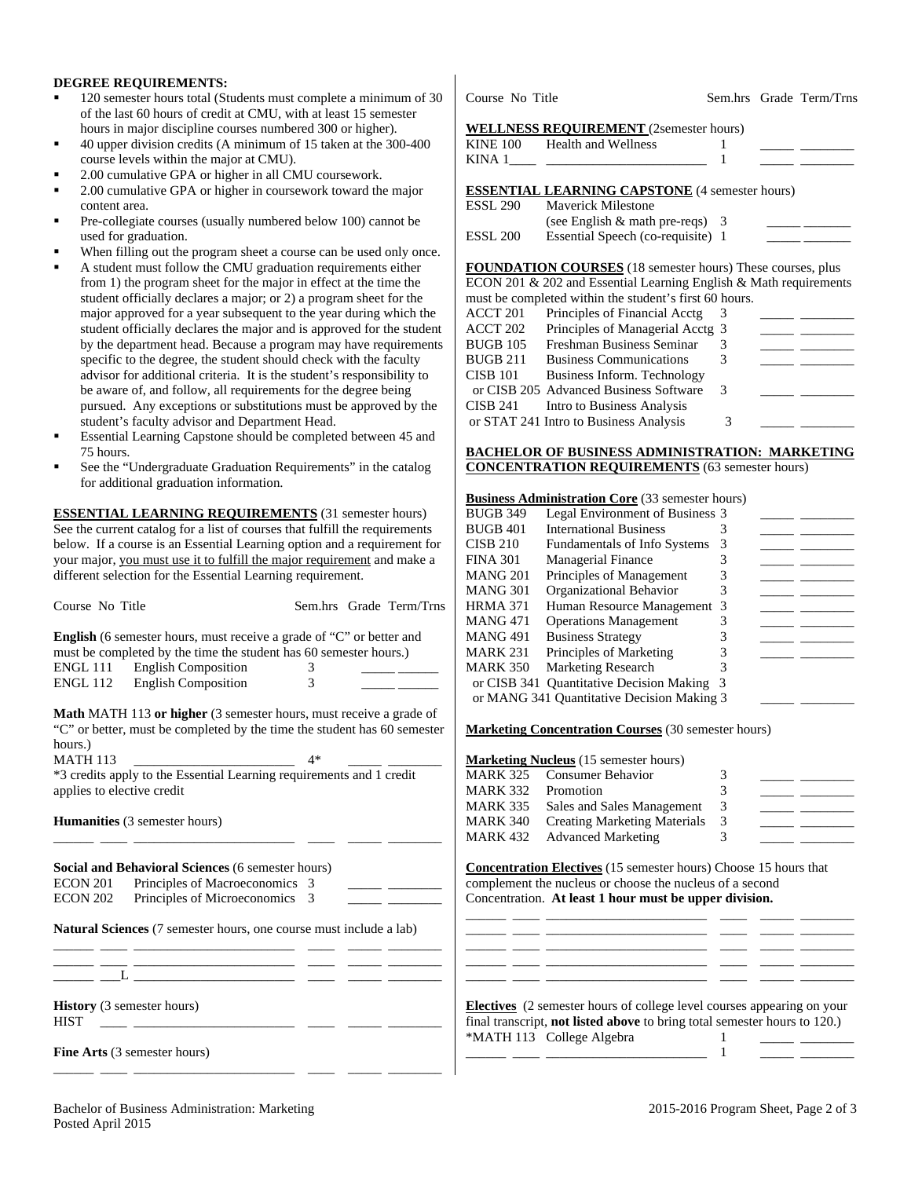### **DEGREE REQUIREMENTS:**

- 120 semester hours total (Students must complete a minimum of 30 of the last 60 hours of credit at CMU, with at least 15 semester hours in major discipline courses numbered 300 or higher).
- 40 upper division credits (A minimum of 15 taken at the 300-400 course levels within the major at CMU).
- 2.00 cumulative GPA or higher in all CMU coursework.
- 2.00 cumulative GPA or higher in coursework toward the major content area.
- Pre-collegiate courses (usually numbered below 100) cannot be used for graduation.
- When filling out the program sheet a course can be used only once.
- A student must follow the CMU graduation requirements either from 1) the program sheet for the major in effect at the time the student officially declares a major; or 2) a program sheet for the major approved for a year subsequent to the year during which the student officially declares the major and is approved for the student by the department head. Because a program may have requirements specific to the degree, the student should check with the faculty advisor for additional criteria. It is the student's responsibility to be aware of, and follow, all requirements for the degree being pursued. Any exceptions or substitutions must be approved by the student's faculty advisor and Department Head.
- Essential Learning Capstone should be completed between 45 and 75 hours.
- See the "Undergraduate Graduation Requirements" in the catalog for additional graduation information.

**ESSENTIAL LEARNING REQUIREMENTS** (31 semester hours) See the current catalog for a list of courses that fulfill the requirements below. If a course is an Essential Learning option and a requirement for your major, you must use it to fulfill the major requirement and make a different selection for the Essential Learning requirement.

|                                                                             |                         | <b>INIAINU JUL</b> | Organizational Denavior                                                       | $\mathcal{L}$                                                                                                                                                                                                                                                                                                                                                                                                                                       |
|-----------------------------------------------------------------------------|-------------------------|--------------------|-------------------------------------------------------------------------------|-----------------------------------------------------------------------------------------------------------------------------------------------------------------------------------------------------------------------------------------------------------------------------------------------------------------------------------------------------------------------------------------------------------------------------------------------------|
| Course No Title                                                             | Sem.hrs Grade Term/Trns | <b>HRMA 371</b>    | Human Resource Management 3                                                   | المستنقل المساري                                                                                                                                                                                                                                                                                                                                                                                                                                    |
|                                                                             |                         | <b>MANG 471</b>    | <b>Operations Management</b>                                                  | 3<br>$\frac{1}{2} \left( \frac{1}{2} \right) = \frac{1}{2} \left( \frac{1}{2} \right) = \frac{1}{2} \left( \frac{1}{2} \right) = \frac{1}{2} \left( \frac{1}{2} \right) = \frac{1}{2} \left( \frac{1}{2} \right) = \frac{1}{2} \left( \frac{1}{2} \right) = \frac{1}{2} \left( \frac{1}{2} \right) = \frac{1}{2} \left( \frac{1}{2} \right) = \frac{1}{2} \left( \frac{1}{2} \right) = \frac{1}{2} \left( \frac{1}{2} \right) = \frac{1}{2} \left($ |
| <b>English</b> (6 semester hours, must receive a grade of "C" or better and |                         | <b>MANG 491</b>    | <b>Business Strategy</b>                                                      | 3<br><b>Contract Contract Contract</b>                                                                                                                                                                                                                                                                                                                                                                                                              |
| must be completed by the time the student has 60 semester hours.)           |                         | <b>MARK 231</b>    | Principles of Marketing                                                       | 3                                                                                                                                                                                                                                                                                                                                                                                                                                                   |
| <b>ENGL 111</b><br><b>English Composition</b>                               | 3                       | <b>MARK 350</b>    | <b>Marketing Research</b>                                                     |                                                                                                                                                                                                                                                                                                                                                                                                                                                     |
| <b>English Composition</b><br><b>ENGL 112</b>                               | 3                       |                    | or CISB 341 Quantitative Decision Making 3                                    |                                                                                                                                                                                                                                                                                                                                                                                                                                                     |
|                                                                             |                         |                    | or MANG 341 Quantitative Decision Making 3                                    |                                                                                                                                                                                                                                                                                                                                                                                                                                                     |
| Math MATH 113 or higher (3 semester hours, must receive a grade of          |                         |                    |                                                                               |                                                                                                                                                                                                                                                                                                                                                                                                                                                     |
| "C" or better, must be completed by the time the student has 60 semester    |                         |                    | <b>Marketing Concentration Courses</b> (30 semester hours)                    |                                                                                                                                                                                                                                                                                                                                                                                                                                                     |
| hours.)                                                                     |                         |                    |                                                                               |                                                                                                                                                                                                                                                                                                                                                                                                                                                     |
| <b>MATH 113</b>                                                             | $4*$                    |                    | <b>Marketing Nucleus</b> (15 semester hours)                                  |                                                                                                                                                                                                                                                                                                                                                                                                                                                     |
| *3 credits apply to the Essential Learning requirements and 1 credit        |                         | <b>MARK 325</b>    | <b>Consumer Behavior</b>                                                      | 3                                                                                                                                                                                                                                                                                                                                                                                                                                                   |
| applies to elective credit                                                  |                         | <b>MARK 332</b>    | Promotion                                                                     | 3                                                                                                                                                                                                                                                                                                                                                                                                                                                   |
|                                                                             |                         | <b>MARK 335</b>    | Sales and Sales Management                                                    | 3                                                                                                                                                                                                                                                                                                                                                                                                                                                   |
| Humanities (3 semester hours)                                               |                         | <b>MARK 340</b>    | <b>Creating Marketing Materials</b>                                           | 3                                                                                                                                                                                                                                                                                                                                                                                                                                                   |
|                                                                             |                         | <b>MARK 432</b>    | <b>Advanced Marketing</b>                                                     | 3                                                                                                                                                                                                                                                                                                                                                                                                                                                   |
|                                                                             |                         |                    |                                                                               |                                                                                                                                                                                                                                                                                                                                                                                                                                                     |
| Social and Behavioral Sciences (6 semester hours)                           |                         |                    | <b>Concentration Electives</b> (15 semester hours) Choose 15 hours that       |                                                                                                                                                                                                                                                                                                                                                                                                                                                     |
| <b>ECON 201</b><br>Principles of Macroeconomics 3                           |                         |                    | complement the nucleus or choose the nucleus of a second                      |                                                                                                                                                                                                                                                                                                                                                                                                                                                     |
| Principles of Microeconomics 3<br><b>ECON 202</b>                           |                         |                    | Concentration. At least 1 hour must be upper division.                        |                                                                                                                                                                                                                                                                                                                                                                                                                                                     |
|                                                                             |                         |                    |                                                                               |                                                                                                                                                                                                                                                                                                                                                                                                                                                     |
| Natural Sciences (7 semester hours, one course must include a lab)          |                         |                    |                                                                               |                                                                                                                                                                                                                                                                                                                                                                                                                                                     |
|                                                                             |                         |                    |                                                                               |                                                                                                                                                                                                                                                                                                                                                                                                                                                     |
|                                                                             |                         |                    |                                                                               |                                                                                                                                                                                                                                                                                                                                                                                                                                                     |
|                                                                             |                         |                    |                                                                               |                                                                                                                                                                                                                                                                                                                                                                                                                                                     |
|                                                                             |                         |                    |                                                                               |                                                                                                                                                                                                                                                                                                                                                                                                                                                     |
| <b>History</b> (3 semester hours)                                           |                         |                    | <b>Electives</b> (2 semester hours of college level courses appearing on your |                                                                                                                                                                                                                                                                                                                                                                                                                                                     |
| <b>HIST</b>                                                                 |                         |                    | final transcript, not listed above to bring total semester hours to 120.)     |                                                                                                                                                                                                                                                                                                                                                                                                                                                     |
|                                                                             |                         |                    | *MATH 113 College Algebra                                                     |                                                                                                                                                                                                                                                                                                                                                                                                                                                     |
| <b>Fine Arts</b> (3 semester hours)                                         |                         |                    |                                                                               |                                                                                                                                                                                                                                                                                                                                                                                                                                                     |
|                                                                             |                         |                    |                                                                               |                                                                                                                                                                                                                                                                                                                                                                                                                                                     |
|                                                                             |                         |                    |                                                                               |                                                                                                                                                                                                                                                                                                                                                                                                                                                     |

Course No Title Sem.hrs Grade Term/Trns

#### **WELLNESS REQUIREMENT** *(2semester hours)*

|                 | KINE 100 Health and Wellness                                      |  |  |  |
|-----------------|-------------------------------------------------------------------|--|--|--|
| KINA 1          |                                                                   |  |  |  |
|                 |                                                                   |  |  |  |
|                 | <b>ESSENTIAL LEARNING CAPSTONE</b> (4 semester hours)             |  |  |  |
| <b>ESSL 290</b> | Maverick Milestone                                                |  |  |  |
|                 | (see English $&$ math pre-reqs) 3                                 |  |  |  |
| <b>ESSL 200</b> | Essential Speech (co-requisite) 1                                 |  |  |  |
|                 |                                                                   |  |  |  |
|                 | FOUNDATION COURSES (18 semester hours) These courses, plus        |  |  |  |
|                 | ECON 201 & 202 and Essential Learning English & Math requirements |  |  |  |
|                 | must be completed within the student's first 60 hours.            |  |  |  |
|                 | ACCT 201 Principles of Financial Acctg                            |  |  |  |
|                 |                                                                   |  |  |  |

| ACCT 202 | Principles of Managerial Acctg 3       |   |  |
|----------|----------------------------------------|---|--|
| BUGB 105 | Freshman Business Seminar              |   |  |
| BUGB 211 | <b>Business Communications</b>         |   |  |
| CISB 101 | Business Inform. Technology            |   |  |
|          | or CISB 205 Advanced Business Software | 3 |  |
|          | CISB 241 Intro to Business Analysis    |   |  |
|          | or STAT 241 Intro to Business Analysis | 3 |  |
|          |                                        |   |  |

### **BACHELOR OF BUSINESS ADMINISTRATION: MARKETING CONCENTRATION REQUIREMENTS** (63 semester hours)

### **Business Administration Core** (33 semester hours)

| <b>BUGB 349</b> | Legal Environment of Business 3            |   |  |
|-----------------|--------------------------------------------|---|--|
| <b>BUGB 401</b> | <b>International Business</b>              |   |  |
| <b>CISB 210</b> | Fundamentals of Info Systems               | 3 |  |
| <b>FINA 301</b> | <b>Managerial Finance</b>                  |   |  |
| <b>MANG 201</b> | Principles of Management                   | 3 |  |
| <b>MANG 301</b> | Organizational Behavior                    | 3 |  |
| <b>HRMA 371</b> | Human Resource Management 3                |   |  |
| <b>MANG 471</b> | <b>Operations Management</b>               |   |  |
| <b>MANG491</b>  | <b>Business Strategy</b>                   |   |  |
| <b>MARK 231</b> | Principles of Marketing                    |   |  |
| <b>MARK 350</b> | <b>Marketing Research</b>                  |   |  |
|                 | or CISB 341 Quantitative Decision Making   |   |  |
|                 | or MANG 341 Quantitative Decision Making 3 |   |  |

#### **Marketing Courses** (30 semester hours)

|                 | <b>Marketing Nucleus</b> (15 semester hours) |   |  |
|-----------------|----------------------------------------------|---|--|
|                 | MARK 325 Consumer Behavior                   | 3 |  |
| <b>MARK 332</b> | Promotion                                    |   |  |
|                 | MARK 335 Sales and Sales Management          | 3 |  |
| <b>MARK 340</b> | <b>Creating Marketing Materials</b>          | 3 |  |
|                 | MARK 432 Advanced Marketing                  |   |  |